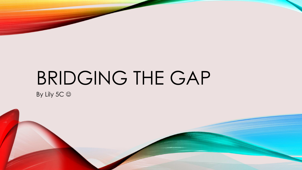# BRIDGING THE GAP

By Lily 5C  $\odot$ 

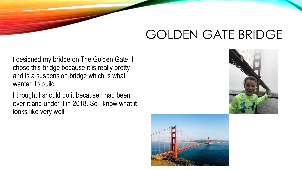# GOLDEN GATE BRIDGE

I designed my bridge on The Golden Gate. I chose this bridge because it is really pretty and is a suspension bridge which is what I wanted to build.

I thought I should do it because I had been over it and under it in 2018. So I know what it looks like very well.



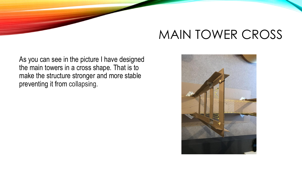# MAIN TOWER CROSS

As you can see in the picture I have designed the main towers in a cross shape. That is to make the structure stronger and more stable preventing it from collapsing.

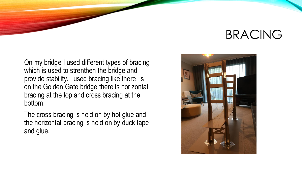#### BRACING

On my bridge I used different types of bracing which is used to strenthen the bridge and provide stability. I used bracing like there is on the Golden Gate bridge there is horizontal bracing at the top and cross bracing at the bottom.

The cross bracing is held on by hot glue and the horizontal bracing is held on by duck tape and glue.

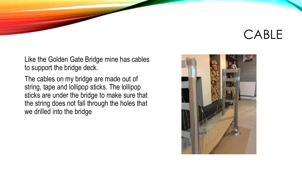#### CABLE

Like the Golden Gate Bridge mine has cables to support the bridge deck.

The cables on my bridge are made out of string, tape and lollipop sticks. The lollipop sticks are under the bridge to make sure that the string does not fall through the holes that we drilled into the bridge

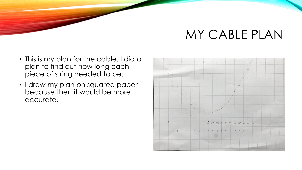#### MY CABLE PLAN

- This is my plan for the cable. I did a plan to find out how long each piece of string needed to be.
- I drew my plan on squared paper because then it would be more accurate.